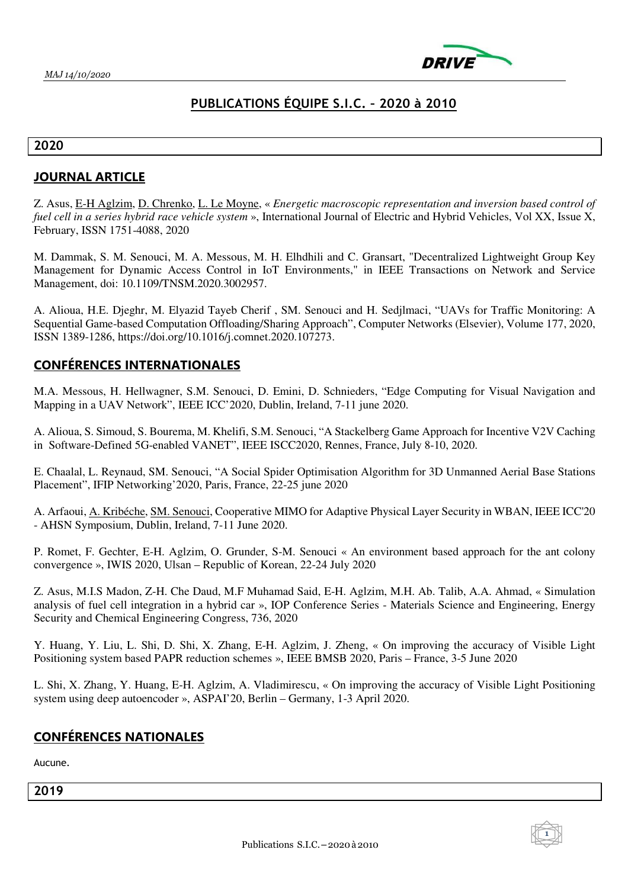

# **PUBLICATIONS ÉQUIPE S.I.C. – 2020 à 2010**

#### **2020**

### **JOURNAL ARTICLE**

Z. Asus, E-H Aglzim, D. Chrenko, L. Le Moyne, « *Energetic macroscopic representation and inversion based control of fuel cell in a series hybrid race vehicle system* », International Journal of Electric and Hybrid Vehicles, Vol XX, Issue X, February, ISSN 1751-4088, 2020

M. Dammak, S. M. Senouci, M. A. Messous, M. H. Elhdhili and C. Gransart, "Decentralized Lightweight Group Key Management for Dynamic Access Control in IoT Environments," in IEEE Transactions on Network and Service Management, doi: 10.1109/TNSM.2020.3002957.

A. Alioua, H.E. Djeghr, M. Elyazid Tayeb Cherif , SM. Senouci and H. Sedjlmaci, "UAVs for Traffic Monitoring: A Sequential Game-based Computation Offloading/Sharing Approach", Computer Networks (Elsevier), Volume 177, 2020, ISSN 1389-1286, https://doi.org/10.1016/j.comnet.2020.107273.

### **CONFÉRENCES INTERNATIONALES**

M.A. Messous, H. Hellwagner, S.M. Senouci, D. Emini, D. Schnieders, "Edge Computing for Visual Navigation and Mapping in a UAV Network", IEEE ICC'2020, Dublin, Ireland, 7-11 june 2020.

A. Alioua, S. Simoud, S. Bourema, M. Khelifi, S.M. Senouci, "A Stackelberg Game Approach for Incentive V2V Caching in Software-Defined 5G-enabled VANET", IEEE ISCC2020, Rennes, France, July 8-10, 2020.

E. Chaalal, L. Reynaud, SM. Senouci, "A Social Spider Optimisation Algorithm for 3D Unmanned Aerial Base Stations Placement", IFIP Networking'2020, Paris, France, 22-25 june 2020

A. Arfaoui, A. Kribéche, SM. Senouci, Cooperative MIMO for Adaptive Physical Layer Security in WBAN, IEEE ICC'20 - AHSN Symposium, Dublin, Ireland, 7-11 June 2020.

P. Romet, F. Gechter, E-H. Aglzim, O. Grunder, S-M. Senouci « An environment based approach for the ant colony convergence », IWIS 2020, Ulsan – Republic of Korean, 22-24 July 2020

Z. Asus, M.I.S Madon, Z-H. Che Daud, M.F Muhamad Said, E-H. Aglzim, M.H. Ab. Talib, A.A. Ahmad, « Simulation analysis of fuel cell integration in a hybrid car », IOP Conference Series - Materials Science and Engineering, Energy Security and Chemical Engineering Congress, 736, 2020

Y. Huang, Y. Liu, L. Shi, D. Shi, X. Zhang, E-H. Aglzim, J. Zheng, « On improving the accuracy of Visible Light Positioning system based PAPR reduction schemes », IEEE BMSB 2020, Paris – France, 3-5 June 2020

L. Shi, X. Zhang, Y. Huang, E-H. Aglzim, A. Vladimirescu, « On improving the accuracy of Visible Light Positioning system using deep autoencoder », ASPAI'20, Berlin – Germany, 1-3 April 2020.

### **CONFÉRENCES NATIONALES**

Aucune.

**2019** 

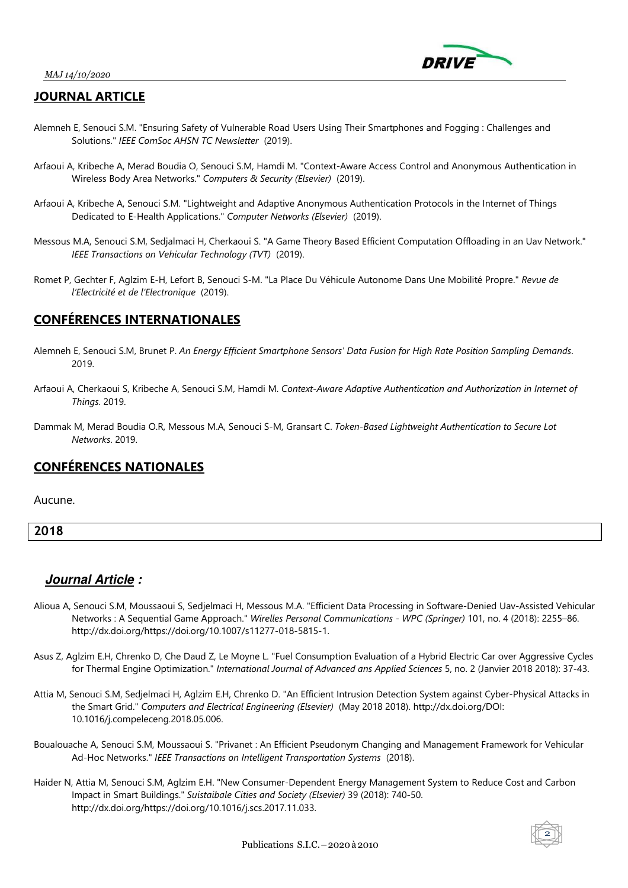

### **JOURNAL ARTICLE**

- Alemneh E, Senouci S.M. "Ensuring Safety of Vulnerable Road Users Using Their Smartphones and Fogging : Challenges and Solutions." *IEEE ComSoc AHSN TC Newsletter* (2019).
- Arfaoui A, Kribeche A, Merad Boudia O, Senouci S.M, Hamdi M. "Context-Aware Access Control and Anonymous Authentication in Wireless Body Area Networks." *Computers & Security (Elsevier)* (2019).
- Arfaoui A, Kribeche A, Senouci S.M. "Lightweight and Adaptive Anonymous Authentication Protocols in the Internet of Things Dedicated to E-Health Applications." *Computer Networks (Elsevier)* (2019).
- Messous M.A, Senouci S.M, Sedjalmaci H, Cherkaoui S. "A Game Theory Based Efficient Computation Offloading in an Uav Network." *IEEE Transactions on Vehicular Technology (TVT)* (2019).
- Romet P, Gechter F, Aglzim E-H, Lefort B, Senouci S-M. "La Place Du Véhicule Autonome Dans Une Mobilité Propre." *Revue de l'Electricité et de l'Electronique* (2019).

### **CONFÉRENCES INTERNATIONALES**

- Alemneh E, Senouci S.M, Brunet P. *An Energy Efficient Smartphone Sensors' Data Fusion for High Rate Position Sampling Demands*. 2019.
- Arfaoui A, Cherkaoui S, Kribeche A, Senouci S.M, Hamdi M. *Context-Aware Adaptive Authentication and Authorization in Internet of Things*. 2019.
- Dammak M, Merad Boudia O.R, Messous M.A, Senouci S-M, Gransart C. *Token-Based Lightweight Authentication to Secure Lot Networks*. 2019.

# **CONFÉRENCES NATIONALES**

Aucune.

**2018** 

- Alioua A, Senouci S.M, Moussaoui S, Sedjelmaci H, Messous M.A. "Efficient Data Processing in Software-Denied Uav-Assisted Vehicular Networks : A Sequential Game Approach." *Wirelles Personal Communications - WPC (Springer)* 101, no. 4 (2018): 2255–86. http://dx.doi.org/https://doi.org/10.1007/s11277-018-5815-1.
- Asus Z, Aglzim E.H, Chrenko D, Che Daud Z, Le Moyne L. "Fuel Consumption Evaluation of a Hybrid Electric Car over Aggressive Cycles for Thermal Engine Optimization." *International Journal of Advanced ans Applied Sciences* 5, no. 2 (Janvier 2018 2018): 37-43.
- Attia M, Senouci S.M, Sedjelmaci H, Aglzim E.H, Chrenko D. "An Efficient Intrusion Detection System against Cyber-Physical Attacks in the Smart Grid." *Computers and Electrical Engineering (Elsevier)* (May 2018 2018). http://dx.doi.org/DOI: 10.1016/j.compeleceng.2018.05.006.
- Boualouache A, Senouci S.M, Moussaoui S. "Privanet : An Efficient Pseudonym Changing and Management Framework for Vehicular Ad-Hoc Networks." *IEEE Transactions on Intelligent Transportation Systems* (2018).
- Haider N, Attia M, Senouci S.M, Aglzim E.H. "New Consumer-Dependent Energy Management System to Reduce Cost and Carbon Impact in Smart Buildings." *Suistaibale Cities and Society (Elsevier)* 39 (2018): 740-50. http://dx.doi.org/https://doi.org/10.1016/j.scs.2017.11.033.

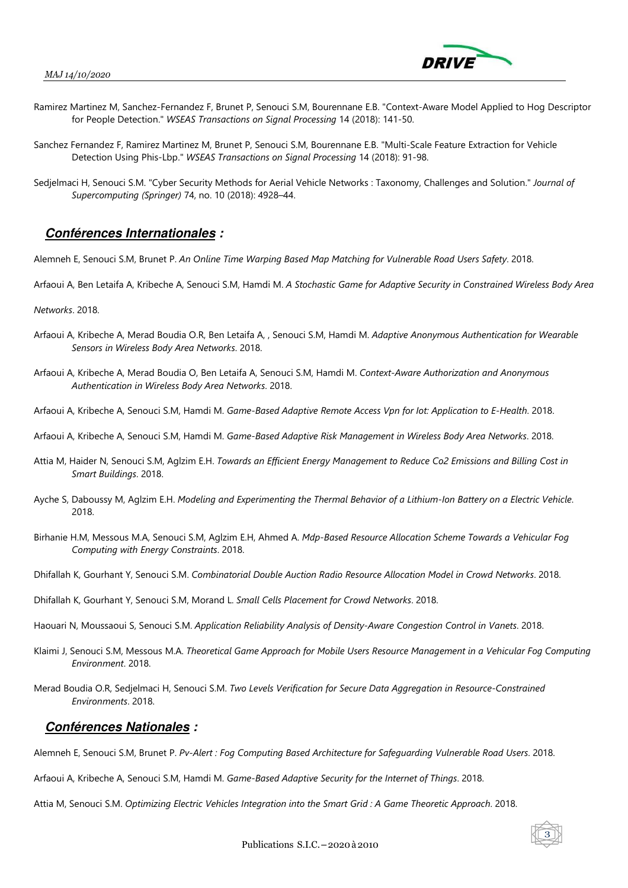

 $\overline{\overline{3}}$ 

- Ramirez Martinez M, Sanchez-Fernandez F, Brunet P, Senouci S.M, Bourennane E.B. "Context-Aware Model Applied to Hog Descriptor for People Detection." *WSEAS Transactions on Signal Processing* 14 (2018): 141-50.
- Sanchez Fernandez F, Ramirez Martinez M, Brunet P, Senouci S.M, Bourennane E.B. "Multi-Scale Feature Extraction for Vehicle Detection Using Phis-Lbp." *WSEAS Transactions on Signal Processing* 14 (2018): 91-98.
- Sedjelmaci H, Senouci S.M. "Cyber Security Methods for Aerial Vehicle Networks : Taxonomy, Challenges and Solution." *Journal of Supercomputing (Springer)* 74, no. 10 (2018): 4928–44.

### **Conférences Internationales :**

Alemneh E, Senouci S.M, Brunet P. *An Online Time Warping Based Map Matching for Vulnerable Road Users Safety*. 2018.

Arfaoui A, Ben Letaifa A, Kribeche A, Senouci S.M, Hamdi M. *A Stochastic Game for Adaptive Security in Constrained Wireless Body Area* 

*Networks*. 2018.

- Arfaoui A, Kribeche A, Merad Boudia O.R, Ben Letaifa A, , Senouci S.M, Hamdi M. *Adaptive Anonymous Authentication for Wearable Sensors in Wireless Body Area Networks*. 2018.
- Arfaoui A, Kribeche A, Merad Boudia O, Ben Letaifa A, Senouci S.M, Hamdi M. *Context-Aware Authorization and Anonymous Authentication in Wireless Body Area Networks*. 2018.
- Arfaoui A, Kribeche A, Senouci S.M, Hamdi M. *Game-Based Adaptive Remote Access Vpn for Iot: Application to E-Health*. 2018.
- Arfaoui A, Kribeche A, Senouci S.M, Hamdi M. *Game-Based Adaptive Risk Management in Wireless Body Area Networks*. 2018.
- Attia M, Haider N, Senouci S.M, Aglzim E.H. *Towards an Efficient Energy Management to Reduce Co2 Emissions and Billing Cost in Smart Buildings*. 2018.
- Ayche S, Daboussy M, Aglzim E.H. *Modeling and Experimenting the Thermal Behavior of a Lithium-Ion Battery on a Electric Vehicle*. 2018.
- Birhanie H.M, Messous M.A, Senouci S.M, Aglzim E.H, Ahmed A. *Mdp-Based Resource Allocation Scheme Towards a Vehicular Fog Computing with Energy Constraints*. 2018.
- Dhifallah K, Gourhant Y, Senouci S.M. *Combinatorial Double Auction Radio Resource Allocation Model in Crowd Networks*. 2018.
- Dhifallah K, Gourhant Y, Senouci S.M, Morand L. *Small Cells Placement for Crowd Networks*. 2018.
- Haouari N, Moussaoui S, Senouci S.M. *Application Reliability Analysis of Density-Aware Congestion Control in Vanets*. 2018.
- Klaimi J, Senouci S.M, Messous M.A. *Theoretical Game Approach for Mobile Users Resource Management in a Vehicular Fog Computing Environment*. 2018.
- Merad Boudia O.R, Sedjelmaci H, Senouci S.M. *Two Levels Verification for Secure Data Aggregation in Resource-Constrained Environments*. 2018.

#### **Conférences Nationales :**

Alemneh E, Senouci S.M, Brunet P. *Pv-Alert : Fog Computing Based Architecture for Safeguarding Vulnerable Road Users*. 2018.

Arfaoui A, Kribeche A, Senouci S.M, Hamdi M. *Game-Based Adaptive Security for the Internet of Things*. 2018.

Attia M, Senouci S.M. *Optimizing Electric Vehicles Integration into the Smart Grid : A Game Theoretic Approach*. 2018.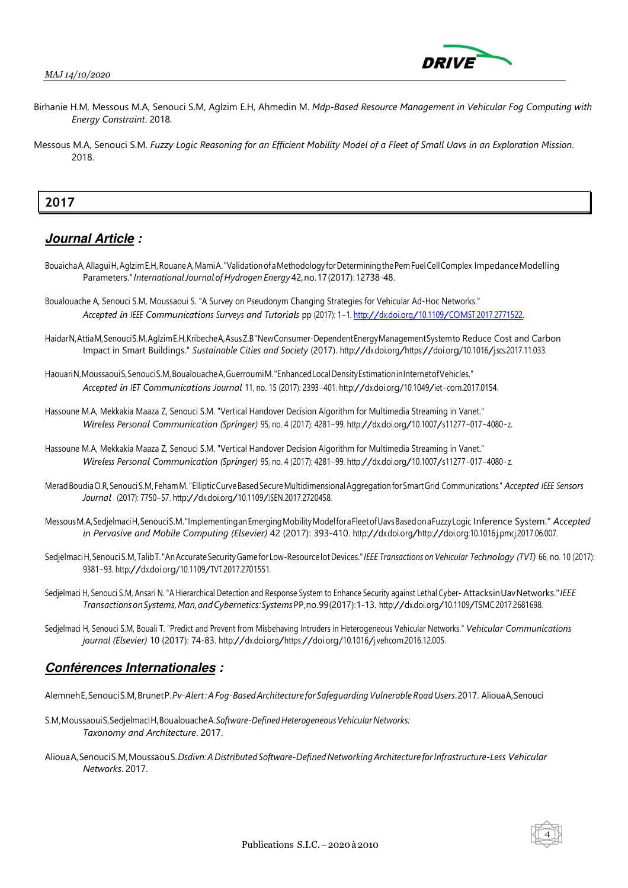

- Birhanie H.M, Messous M.A, Senouci S.M, Aglzim E.H, Ahmedin M. *Mdp-Based Resource Management in Vehicular Fog Computing with Energy Constraint*. 2018.
- Messous M.A, Senouci S.M. *Fuzzy Logic Reasoning for an Efficient Mobility Model of a Fleet of Small Uavs in an Exploration Mission*. 2018.

### **2017**

### **Journal Article :**

- Bouaicha A, Allagui H, Aglzim E.H, Rouane A, Mami A. "Validation of a Methodology for Determining the Pem Fuel Cell Complex Impedance Modelling Parameters." *International Journal of Hydrogen Energy* 42, no. 17 (2017): 12738-48.
- Boualouache A, Senouci S.M, Moussaoui S. "A Survey on Pseudonym Changing Strategies for Vehicular Ad-Hoc Networks." *Accepted in IEEE Communications Surveys and Tutorials* pp (2017): 1-1. http://dx.doi.org/10.1109/COMST.2017.2771522.
- Haidar N, Attia M, Senouci S.M, Aglzim E.H, Kribeche A, Asus Z.B "New Consumer-Dependent Energy Management System to Reduce Cost and Carbon Impact in Smart Buildings." *Sustainable Cities and Society* (2017). http://dx.doi.org/https://doi.org/10.1016/j.scs.2017.11.033.
- Haouari N, Moussaoui S, Senouci S.M, Boualouache A, Guerroumi M. "Enhanced Local Density Estimation in Internet of Vehicles." *Accepted in IET Communications Journal* 11, no. <sup>15</sup> (2017): 2393-401. http://dx.doi.org/10.1049/iet-com.2017.0154.
- Hassoune M.A, Mekkakia Maaza Z, Senouci S.M. "Vertical Handover Decision Algorithm for Multimedia Streaming in Vanet." *Wireless Personal Communication (Springer)* 95, no. <sup>4</sup> (2017): 4281-99. http://dx.doi.org/10.1007/s11277-017-4080-z.
- Hassoune M.A, Mekkakia Maaza Z, Senouci S.M. "Vertical Handover Decision Algorithm for Multimedia Streaming in Vanet." *Wireless Personal Communication (Springer)* 95, no. <sup>4</sup> (2017): 4281-99. http://dx.doi.org/10.1007/s11277-017-4080-z.
- Merad Boudia O.R, Senouci S.M, Feham M. "Elliptic Curve Based Secure Multidimensional Aggregation for Smart Grid Communications." *Accepted IEEE Sensors Journal* (2017): 7750-57. http://dx.doi.org/10.1109/JSEN.2017.2720458.
- Messous M.A, Sedjelmaci H, Senouci S.M. "Implementing an Emerging Mobility Model for a Fleet of Uavs Based on a Fuzzy Logic Inference System." *Accepted in Pervasive and Mobile Computing (Elsevier)* 42 (2017): 393-410. http://dx.doi.org/http://doi.org:10.1016:j.pmcj.2017.06.007.
- Sedjelmaci H, Senouci S.M, Talib T. "An Accurate Security Game for Low-Resource Iot Devices." *IEEE Transactions on Vehicular Technology (TVT)* 66, no. <sup>10</sup> (2017): 9381-93. http://dx.doi.org/10.1109/TVT.2017.2701551.
- Sedjelmaci H, Senouci S.M, Ansari N. "A Hierarchical Detection and Response System to Enhance Security against Lethal Cyber- Attacks in Uav Networks." *IEEE Transactions on Systems, Man, and Cybernetics: Systems* PP, no. 99 (2017): 1-13. http://dx.doi.org/10.1109/TSMC.2017.2681698.
- Sedjelmaci H, Senouci S.M, Bouali T. "Predict and Prevent from Misbehaving Intruders in Heterogeneous Vehicular Networks." *Vehicular Communications journal (Elsevier)* 10 (2017): 74-83. http://dx.doi.org/https://doi.org/10.1016/j.vehcom.2016.12.005.

### **Conférences Internationales :**

- Alemneh E, Senouci S.M, Brunet P. *Pv-Alert : A Fog-Based Architecture for Safeguarding Vulnerable Road Users*. 2017. Alioua A, Senouci
- S.M, Moussaoui S, Sedjelmaci H, Boualouache A. *Software-Defined Heterogeneous Vehicular Networks: Taxonomy and Architecture*. 2017.
- Alioua A, Senouci S.M, Moussaou S. *Dsdivn: A Distributed Software-Defined Networking Architecture for Infrastructure-Less Vehicular Networks*. 2017.

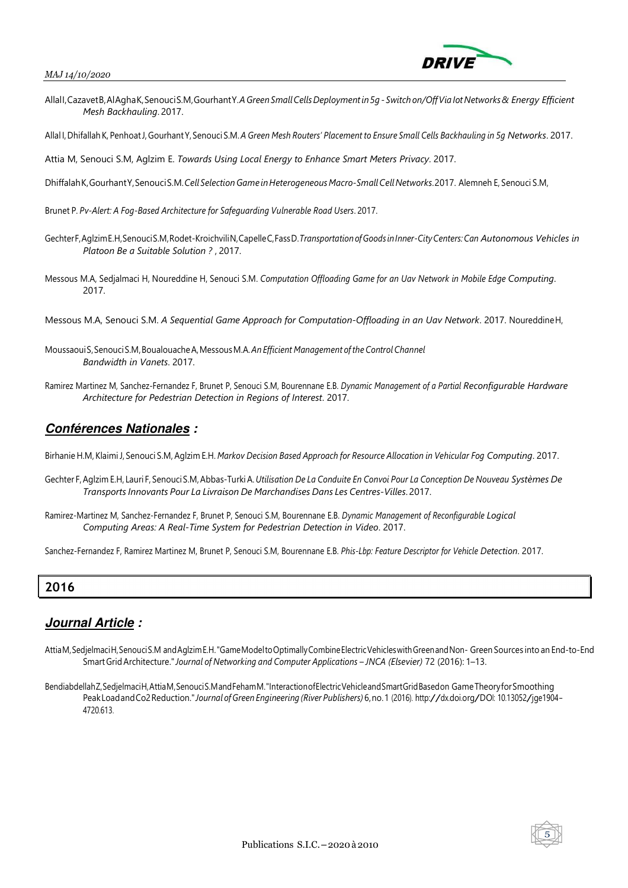

- Allall, Cazavet B, Al Agha K, Senouci S.M, Gourhant Y. *A Green Small Cells Deployment in 5q Switch on/Off Via Iot Networks & Energy Efficient Mesh Backhauling*. 2017.
- Allal I, Dhifallah K, Penhoat J, Gourhant Y, Senouci S.M. *A Green Mesh Routers' Placement to Ensure Small Cells Backhauling in 5g Networks*. 2017.

Attia M, Senouci S.M, Aglzim E. *Towards Using Local Energy to Enhance Smart Meters Privacy*. 2017.

- Dhiffalah K, Gourhant Y, Senouci S.M. *Cell Selection Game in Heterogeneous Macro-Small Cell Networks*. 2017. Alemneh E, Senouci S.M,
- Brunet P. *Pv-Alert: A Fog-Based Architecture for Safeguarding Vulnerable Road Users*. 2017.
- Gechter F, Aglzim E.H, Senouci S.M, Rodet-Kroichvili N, Capelle C, Fass D. *Transportation of Goods in Inner-City Centers: Can Autonomous Vehicles in Platoon Be a Suitable Solution ?* , 2017.
- Messous M.A, Sedjalmaci H, Noureddine H, Senouci S.M. *Computation Offloading Game for an Uav Network in Mobile Edge Computing*. 2017.
- Messous M.A, Senouci S.M. *A Sequential Game Approach for Computation-Offloading in an Uav Network*. 2017. Noureddine H,
- Moussaoui S, Senouci S.M, Boualouache A, Messous M.A. *An Efficient Management of the Control Channel Bandwidth in Vanets*. 2017.
- Ramirez Martinez M, Sanchez-Fernandez F, Brunet P, Senouci S.M, Bourennane E.B. *Dynamic Management of a Partial Reconfigurable Hardware Architecture for Pedestrian Detection in Regions of Interest*. 2017.

### **Conférences Nationales :**

Birhanie H.M, Klaimi J, Senouci S.M, Aglzim E.H. *Markov Decision Based Approach for Resource Allocation in Vehicular Fog Computing*. 2017.

- Gechter F, Aglzim E.H, Lauri F, Senouci S.M, Abbas-Turki A. *Utilisation De La Conduite En Convoi Pour La Conception De Nouveau Systèmes De Transports Innovants Pour La Livraison De Marchandises Dans Les Centres-Villes*. 2017.
- Ramirez-Martinez M, Sanchez-Fernandez F, Brunet P, Senouci S.M, Bourennane E.B. *Dynamic Management of Reconfigurable Logical Computing Areas: A Real-Time System for Pedestrian Detection in Video*. 2017.

Sanchez-Fernandez F, Ramirez Martinez M, Brunet P, Senouci S.M, Bourennane E.B. *Phis-Lbp: Feature Descriptor for Vehicle Detection*. 2017.

### **2016**

- Attia M, Sedjelmaci H, Senouci S.M and Aglzim E.H. "Game Model to Optimally Combine Electric Vehicles with Green and Non- Green Sources into an End-to-End Smart Grid Architecture." *Journal of Networking and Computer Applications – JNCA (Elsevier)* 72 (2016): 1–13.
- Bendiabdellah Z, Sedjelmaci H, Attia M, Senouci S.M and Feham M. "Interaction of Electric Vehicle and Smart Grid Based on Game Theory for Smoothing Peak Load and Co2 Reduction." *Journal of Green Engineering (River Publishers)* 6, no. 1 (2016). http://dx.doi.org/DOI: 10.13052/jge1904- 4720.613.

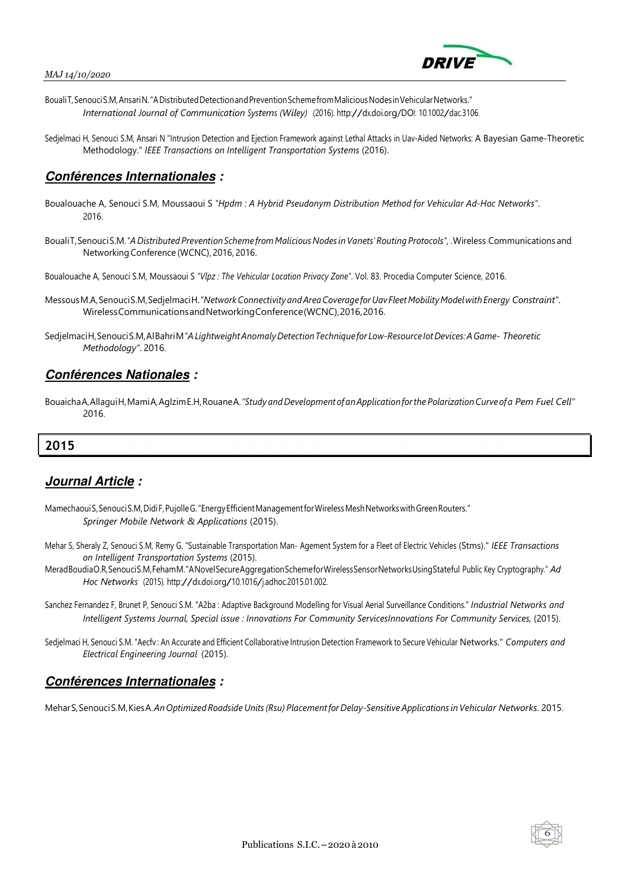



- Bouali T, Senouci S.M, Ansari N. "A Distributed Detection and Prevention Scheme from Malicious Nodes in Vehicular Networks." *International Journal of Communication Systems (Wiley)* (2016). http://dx.doi.org/DOI: 10.1002/dac.3106.
- Sedjelmaci H, Senouci S.M, Ansari N "Intrusion Detection and Ejection Framework against Lethal Attacks in Uav-Aided Networks: A Bayesian Game-Theoretic Methodology." *IEEE Transactions on Intelligent Transportation Systems* (2016).

### **Conférences Internationales :**

- Boualouache A, Senouci S.M, Moussaoui S *"Hpdm : A Hybrid Pseudonym Distribution Method for Vehicular Ad-Hoc Networks"*. 2016.
- Bouali T, Senouci S.M. *"A Distributed Prevention Scheme from Malicious Nodes in Vanets' Routing Protocols",* . Wireless Communications and Networking Conference (WCNC), 2016, 2016.
- Boualouache A, Senouci S.M, Moussaoui S *"Vlpz : The Vehicular Location Privacy Zone"*. Vol. 83. Procedia Computer Science, 2016.
- Messous M.A, Senouci S.M, Sedjelmaci H. *"Network Connectivity and Area Coverage for Uav Fleet Mobility Model with Energy Constraint"*. Wireless Communications and Networking Conference (WCNC), 2016, 2016.
- Sedjelmaci H, Senouci S.M, Al Bahri M *"A Lightweight Anomaly Detection Technique for Low-Resource Iot Devices: A Game- Theoretic Methodology"*. 2016.

### **Conférences Nationales :**

Bouaicha A, Allagui H, Mami A, Aglzim E.H, Rouane A. "Study and Development of an Application for the Polarization Curve of a Pem Fuel Cell" 2016.

## **2015**

# **Journal Article :**

- Mamechaoui S, Senouci S.M, Didi F, Pujolle G. "Energy Efficient Management for Wireless Mesh Networks with Green Routers." *Springer Mobile Network & Applications* (2015).
- Mehar S, Sheraly Z, Senouci S.M, Remy G. "Sustainable Transportation Man- Agement System for a Fleet of Electric Vehicles (Stms)." *IEEE Transactions on Intelligent Transportation Systems* (2015).
- Merad Boudia O.R, Senouci S.M, Feham M. "A Novel Secure Aggregation Scheme for Wireless Sensor Networks Using Stateful Public Key Cryptography." *Ad Hoc Networks* (2015). http://dx.doi.org/10.1016/j.adhoc.2015.01.002.
- Sanchez Fernandez F, Brunet P, Senouci S.M. "A2ba : Adaptive Background Modelling for Visual Aerial Surveillance Conditions." *Industrial Networks and Intelligent Systems Journal, Special issue : Innovations For Community ServicesInnovations For Community Services,* (2015).
- Sedjelmaci H, Senouci S.M. "Aecfv : An Accurate and Efficient Collaborative Intrusion Detection Framework to Secure Vehicular Networks." *Computers and Electrical Engineering Journal* (2015).

### **Conférences Internationales :**

Mehar S, Senouci S.M, Kies A. *An Optimized Roadside Units (Rsu) Placement for Delay-Sensitive Applications in Vehicular Networks*. 2015.

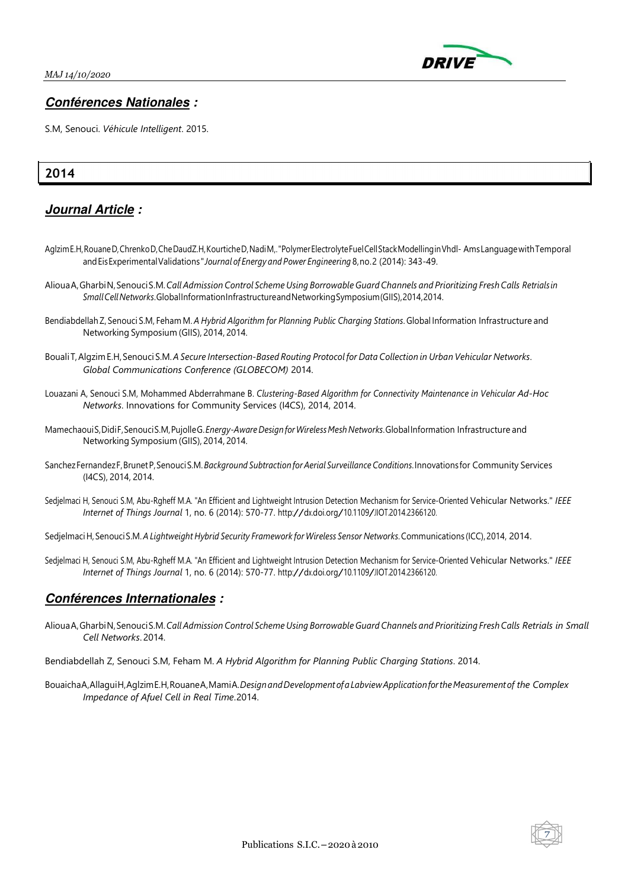

### **Conférences Nationales :**

S.M, Senouci. *Véhicule Intelligent*. 2015.

## **2014**

# **Journal Article :**

- Aglzim E.H, Rouane D, Chrenko D, Che Daud Z.H, Kourtiche D, Nadi M,. "Polymer Electrolyte Fuel Cell Stack Modelling in Vhdl- Ams Language with Temporal and Eis Experimental Validations " *Journal of Energy and Power Engineering* 8, no. 2 (2014): 343-49.
- Alioua A, Gharbi N, Senouci S.M. *Call Admission Control Scheme Using Borrowable Guard Channels and Prioritizing Fresh Calls Retrials in Small Cell Networks*. Global Information Infrastructure and Networking Symposium (GIIS), 2014, 2014.
- Bendiabdellah Z, Senouci S.M, Feham M. *A Hybrid Algorithm for Planning Public Charging Stations*. Global Information Infrastructure and Networking Symposium (GIIS), 2014, 2014.
- Bouali T, Algzim E.H, Senouci S.M. *A Secure Intersection-Based Routing Protocol for Data Collection in Urban Vehicular Networks*. *Global Communications Conference (GLOBECOM)* 2014.
- Louazani A, Senouci S.M, Mohammed Abderrahmane B. *Clustering-Based Algorithm for Connectivity Maintenance in Vehicular Ad-Hoc Networks*. Innovations for Community Services (I4CS), 2014, 2014.
- Mamechaoui S, Didi F, Senouci S.M, Pujolle G. *Energy-Aware Design for Wireless Mesh Networks*. Global Information Infrastructure and Networking Symposium (GIIS), 2014, 2014.
- Sanchez Fernandez F, Brunet P, Senouci S.M. *Background Subtraction for Aerial Surveillance Conditions*. Innovations for Community Services (I4CS), 2014, 2014.
- Sedjelmaci H, Senouci S.M, Abu-Rgheff M.A. "An Efficient and Lightweight Intrusion Detection Mechanism for Service-Oriented Vehicular Networks." *IEEE Internet of Things Journal* 1, no. 6 (2014): 570-77. http://dx.doi.org/10.1109/JIOT.2014.2366120.
- Sedjelmaci H, Senouci S.M. *A Lightweight Hybrid Security Framework for Wireless Sensor Networks*. Communications (ICC), 2014, 2014.
- Sedjelmaci H, Senouci S.M, Abu-Rgheff M.A. "An Efficient and Lightweight Intrusion Detection Mechanism for Service-Oriented Vehicular Networks." *IEEE Internet of Things Journal* 1, no. 6 (2014): 570-77. http://dx.doi.org/10.1109/JIOT.2014.2366120.

### **Conférences Internationales :**

- Alioua A, Gharbi N, Senouci S.M. *Call Admission Control Scheme Using Borrowable Guard Channels and Prioritizing Fresh Calls Retrials in Small Cell Networks*. 2014.
- Bendiabdellah Z, Senouci S.M, Feham M. *A Hybrid Algorithm for Planning Public Charging Stations*. 2014.
- Bouaicha A, Allagui H, Aglzim E.H, Rouane A, Mami A. *Design and Development of a Labview Application for the Measurement of the Complex Impedance of Afuel Cell in Real Time*. 2014.

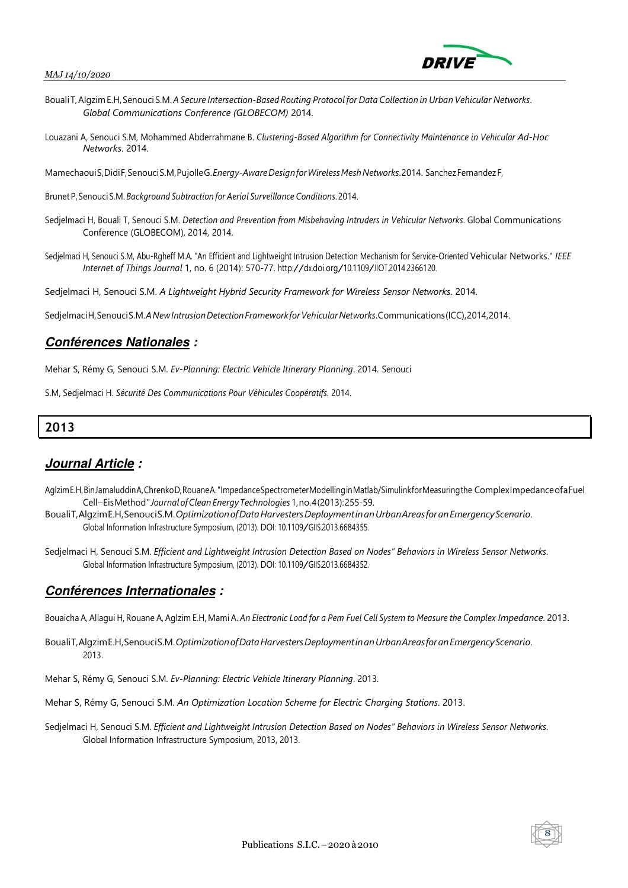

- Bouali T, Algzim E.H, Senouci S.M. *A Secure Intersection-Based Routing Protocol for Data Collection in Urban Vehicular Networks*. *Global Communications Conference (GLOBECOM)* 2014.
- Louazani A, Senouci S.M, Mohammed Abderrahmane B. *Clustering-Based Algorithm for Connectivity Maintenance in Vehicular Ad-Hoc Networks*. 2014.

Mamechaoui S, Didi F, Senouci S.M, Pujolle G. *Energy-Aware Design for Wireless Mesh Networks*. 2014. Sanchez Fernandez F,

Brunet P, Senouci S.M. *Background Subtraction for Aerial Surveillance Conditions*. 2014.

- Sedjelmaci H, Bouali T, Senouci S.M. *Detection and Prevention from Misbehaving Intruders in Vehicular Networks*. Global Communications Conference (GLOBECOM), 2014, 2014.
- Sedjelmaci H, Senouci S.M, Abu-Rgheff M.A. "An Efficient and Lightweight Intrusion Detection Mechanism for Service-Oriented Vehicular Networks." *IEEE Internet of Things Journal* 1, no. 6 (2014): 570-77. http://dx.doi.org/10.1109/JIOT.2014.2366120.

Sedjelmaci H, Senouci S.M. *A Lightweight Hybrid Security Framework for Wireless Sensor Networks*. 2014.

Sedjelmaci H, Senouci S.M. *A New Intrusion Detection Framework for Vehicular Networks*. Communications (ICC), 2014, 2014.

### **Conférences Nationales :**

Mehar S, Rémy G, Senouci S.M. *Ev-Planning: Electric Vehicle Itinerary Planning*. 2014. Senouci

S.M, Sedjelmaci H. *Sécurité Des Communications Pour Véhicules Coopératifs*. 2014.

# **2013**

### **Journal Article :**

- Aglzim E.H, Bin Jamaluddin A, Chrenko D, Rouane A. "Impedance Spectrometer Modelling in Matlab/Simulink for Measuring the Complex Impedance of a Fuel Cell – Eis Method " *Journal of Clean Energy Technologies* 1, no. 4 (2013): 255-59.
- Bouali T, Algzim E.H, Senouci S.M. *Optimization of Data Harvesters Deployment in an Urban Areas for an Emergency Scenario*. Global Information Infrastructure Symposium, (2013). DOI: 10.1109/GIIS.2013.6684355.
- Sedjelmaci H, Senouci S.M. *Efficient and Lightweight Intrusion Detection Based on Nodes" Behaviors in Wireless Sensor Networks*. Global Information Infrastructure Symposium, (2013). DOI: 10.1109/GIIS.2013.6684352.

### **Conférences Internationales :**

Bouaicha A, Allagui H, Rouane A, Aglzim E.H, Mami A. *An Electronic Load for a Pem Fuel Cell System to Measure the Complex Impedance*. 2013.

- Bouali T, Algzim E.H, Senouci S.M. *Optimization of Data Harvesters Deployment in an Urban Areas for an Emergency Scenario*. 2013.
- Mehar S, Rémy G, Senouci S.M. *Ev-Planning: Electric Vehicle Itinerary Planning*. 2013.
- Mehar S, Rémy G, Senouci S.M. *An Optimization Location Scheme for Electric Charging Stations*. 2013.
- Sedjelmaci H, Senouci S.M. *Efficient and Lightweight Intrusion Detection Based on Nodes" Behaviors in Wireless Sensor Networks*. Global Information Infrastructure Symposium, 2013, 2013.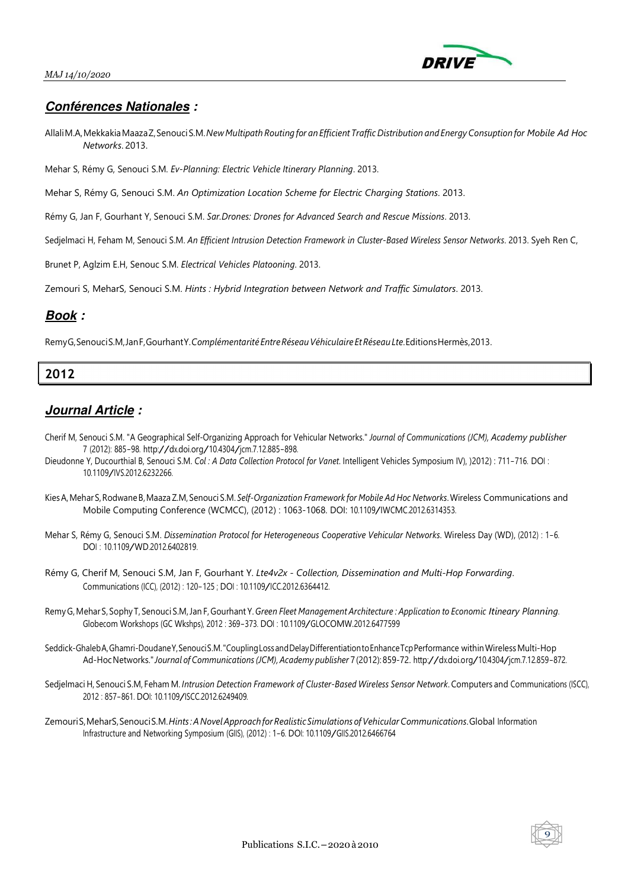

### **Conférences Nationales :**

- Allali M.A, Mekkakia Maaza Z, Senouci S.M. *New Multipath Routing for an Efficient Traffic Distribution and Energy Consuption for Mobile Ad Hoc Networks*. 2013.
- Mehar S, Rémy G, Senouci S.M. *Ev-Planning: Electric Vehicle Itinerary Planning*. 2013.
- Mehar S, Rémy G, Senouci S.M. *An Optimization Location Scheme for Electric Charging Stations*. 2013.
- Rémy G, Jan F, Gourhant Y, Senouci S.M. *Sar.Drones: Drones for Advanced Search and Rescue Missions*. 2013.
- Sedjelmaci H, Feham M, Senouci S.M. *An Efficient Intrusion Detection Framework in Cluster-Based Wireless Sensor Networks*. 2013. Syeh Ren C,
- Brunet P, Aglzim E.H, Senouc S.M. *Electrical Vehicles Platooning*. 2013.

Zemouri S, MeharS, Senouci S.M. *Hints : Hybrid Integration between Network and Traffic Simulators*. 2013.

### **Book :**

Remy G, Senouci S.M, Jan F, Gourhant Y. *Complémentarité Entre Réseau Véhiculaire Et Réseau Lte*. Editions Hermès, 2013.

# **2012**

- Cherif M, Senouci S.M. "A Geographical Self-Organizing Approach for Vehicular Networks." *Journal of Communications (JCM), Academy publisher* <sup>7</sup> (2012): 885-98. http://dx.doi.org/10.4304/jcm.7.12.885-898.
- Dieudonne Y, Ducourthial B, Senouci S.M. *Col : A Data Collection Protocol for Vanet*. Intelligent Vehicles Symposium IV), )2012) : 711-716. DOI : 10.1109/IVS.2012.6232266.
- Kies A, Mehar S, Rodwane B, Maaza Z.M, Senouci S.M. *Self-Organization Framework for Mobile Ad Hoc Networks*. Wireless Communications and Mobile Computing Conference (WCMCC), (2012) : 1063-1068. DOI: 10.1109/IWCMC.2012.6314353.
- Mehar S, Rémy G, Senouci S.M. *Dissemination Protocol for Heterogeneous Cooperative Vehicular Networks*. Wireless Day (WD), (2012) : 1-6. DOI : 10.1109/WD.2012.6402819.
- Rémy G, Cherif M, Senouci S.M, Jan F, Gourhant Y. *Lte4v2x Collection, Dissemination and Multi-Hop Forwarding*. Communications (ICC), (2012) : 120-125 ; DOI : 10.1109/ICC.2012.6364412.
- Remy G, Mehar S, Sophy T, Senouci S.M, Jan F, Gourhant Y. *Green Fleet Management Architecture : Application to Economic Itineary Planning*. Globecom Workshops (GC Wkshps), <sup>2012</sup> : 369-373. DOI : 10.1109/GLOCOMW.2012.6477599
- Seddick-Ghaleb A, Ghamri-Doudane Y, Senouci S.M. "Coupling Loss and Delay Differentiation to Enhance Tcp Performance within Wireless Multi-Hop Ad-Hoc Networks." *Journal of Communications (JCM), Academy publisher* 7 (2012): 859-72. http://dx.doi.org/10.4304/jcm.7.12.859-872.
- Sedjelmaci H, Senouci S.M, Feham M. *Intrusion Detection Framework of Cluster-Based Wireless Sensor Network*. Computers and Communications (ISCC), <sup>2012</sup> : 857-861. DOI: 10.1109/ISCC.2012.6249409.
- Zemouri S, MeharS, Senouci S.M. *Hints : A Novel Approach for Realistic Simulations of Vehicular Communications*. Global Information Infrastructure and Networking Symposium (GIIS), (2012) : 1-6. DOI: 10.1109/GIIS.2012.6466764

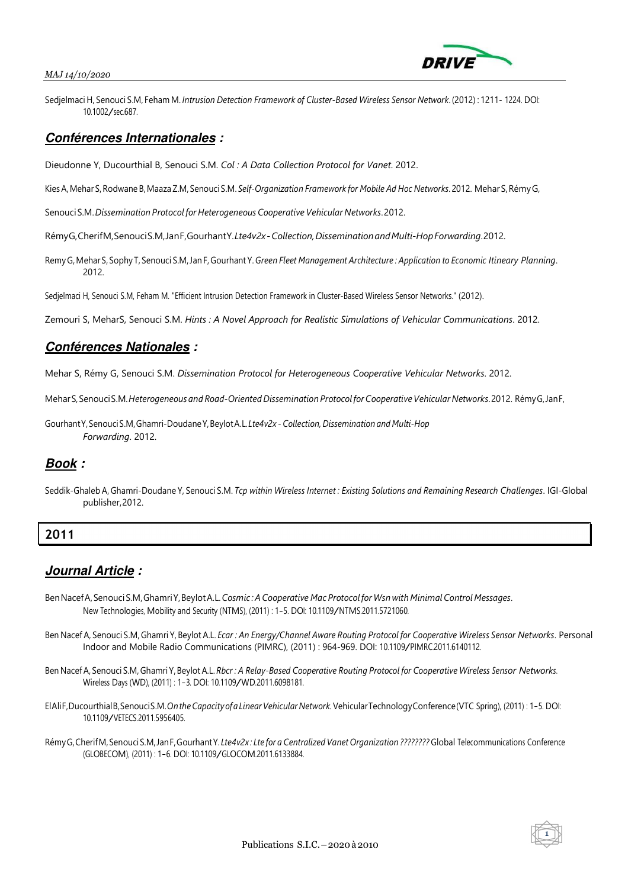#### *MAJ 14/10/2020*



Sedjelmaci H, Senouci S.M, Feham M. *Intrusion Detection Framework of Cluster-Based Wireless Sensor Network*. (2012) : 1211- 1224. DOI: 10.1002/sec.687.

#### **Conférences Internationales :**

Dieudonne Y, Ducourthial B, Senouci S.M. *Col : A Data Collection Protocol for Vanet*. 2012.

Kies A, Mehar S, Rodwane B, Maaza Z.M, Senouci S.M. *Self-Organization Framework for Mobile Ad Hoc Networks*. 2012. Mehar S, Rémy G,

Senouci S.M. *Dissemination Protocol for Heterogeneous Cooperative Vehicular Networks*. 2012.

Rémy G, Cherif M, Senouci S.M, Jan F, Gourhant Y. *Lte4v2x - Collection, Dissemination and Multi-Hop Forwarding*. 2012.

Remy G, Mehar S, Sophy T, Senouci S.M, Jan F, Gourhant Y. *Green Fleet Management Architecture : Application to Economic Itineary Planning*. 2012.

Sedjelmaci H, Senouci S.M, Feham M. "Efficient Intrusion Detection Framework in Cluster-Based Wireless Sensor Networks." (2012).

Zemouri S, MeharS, Senouci S.M. *Hints : A Novel Approach for Realistic Simulations of Vehicular Communications*. 2012.

### **Conférences Nationales :**

Mehar S, Rémy G, Senouci S.M. *Dissemination Protocol for Heterogeneous Cooperative Vehicular Networks*. 2012.

Mehar S, Senouci S.M. *Heterogeneous and Road-Oriented Dissemination Protocol for Cooperative Vehicular Networks*. 2012. Rémy G, Jan F,

Gourhant Y, Senouci S.M, Ghamri-Doudane Y, Beylot A.L. *Lte4v2x - Collection, Dissemination and Multi-Hop Forwarding*. 2012.

### **Book :**

Seddik-Ghaleb A, Ghamri-Doudane Y, Senouci S.M. *Tcp within Wireless Internet : Existing Solutions and Remaining Research Challenges*. IGI-Global publisher, 2012.

### **2011**

- Ben Nacef A, Senouci S.M, Ghamri Y, Beylot A.L. *Cosmic : A Cooperative Mac Protocol for Wsn with Minimal Control Messages*. New Technologies, Mobility and Security (NTMS), (2011) : 1-5. DOI: 10.1109/NTMS.2011.5721060.
- Ben Nacef A, Senouci S.M, Ghamri Y, Beylot A.L. *Ecar : An Energy/Channel Aware Routing Protocol for Cooperative Wireless Sensor Networks*. Personal Indoor and Mobile Radio Communications (PIMRC), (2011) : 964-969. DOI: 10.1109/PIMRC.2011.6140112.
- Ben Nacef A, Senouci S.M, Ghamri Y, Beylot A.L. *Rbcr : A Relay-Based Cooperative Routing Protocol for Cooperative Wireless Sensor Networks*. Wireless Days (WD), (2011) : 1-3. DOI: 10.1109/WD.2011.6098181.
- El Ali F, Ducourthial B, Senouci S.M. *On the Capacity of a Linear Vehicular Network.* Vehicular Technology Conference (VTC Spring), (2011) : 1-5. DOI: 10.1109/VETECS.2011.5956405.
- Rémy G, Cherif M, Senouci S.M, Jan F, Gourhant Y. *Lte4v2x : Lte for a Centralized Vanet Organization ????????* Global Telecommunications Conference (GLOBECOM), (2011) : 1-6. DOI: 10.1109/GLOCOM.2011.6133884.

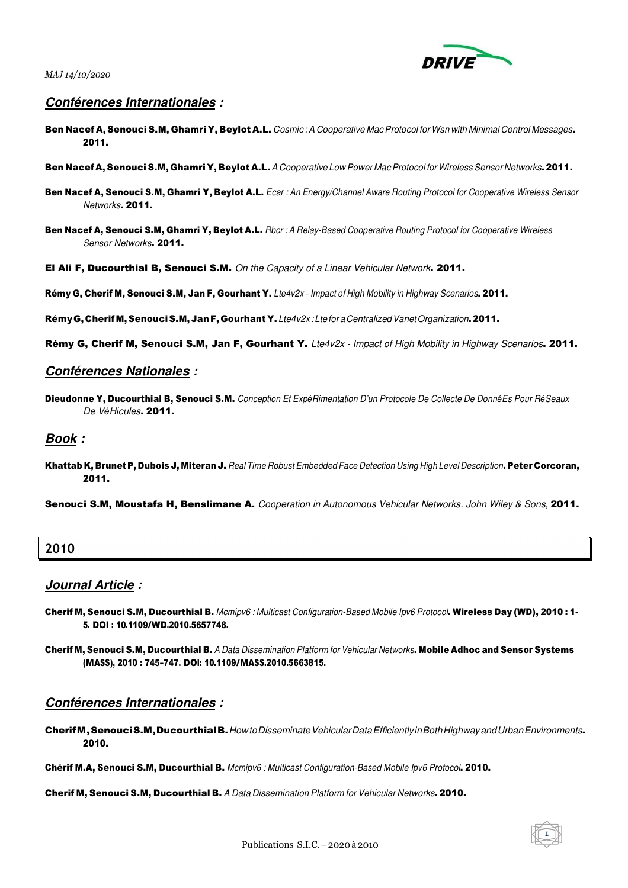

### **Conférences Internationales :**

- Ben Nacef A, Senouci S.M, Ghamri Y, Beylot A.L. Cosmic: A Cooperative Mac Protocol for Wsn with Minimal Control Messages. 2011.
- Ben Nacef A, Senouci S.M, Ghamri Y, Beylot A.L. A Cooperative Low Power Mac Protocol for Wireless Sensor Networks. 2011.
- Ben Nacef A, Senouci S.M, Ghamri Y, Beylot A.L. Ecar : An Energy/Channel Aware Routing Protocol for Cooperative Wireless Sensor Networks. 2011.
- Ben Nacef A, Senouci S.M, Ghamri Y, Beylot A.L. Rbcr : A Relay-Based Cooperative Routing Protocol for Cooperative Wireless Sensor Networks. 2011.
- El Ali F, Ducourthial B, Senouci S.M. On the Capacity of a Linear Vehicular Network. 2011.

Rémy G, Cherif M, Senouci S.M, Jan F, Gourhant Y. Lte4v2x - Impact of High Mobility in Highway Scenarios. 2011.

Rémy G, Cherif M, Senouci S.M, Jan F, Gourhant Y. Lte4v2x: Lte for a Centralized Vanet Organization. 2011.

Rémy G, Cherif M, Senouci S.M, Jan F, Gourhant Y. Lte4v2x - Impact of High Mobility in Highway Scenarios. 2011.

#### **Conférences Nationales :**

Dieudonne Y, Ducourthial B, Senouci S.M. Conception Et Exp*é*Rimentation D'un Protocole De Collecte De Donn*é*Es Pour R*é*Seaux De V*é*Hicules. 2011.

#### **Book :**

Khattab K, Brunet P, Dubois J, Miteran J. Real Time Robust Embedded Face Detection Using High Level Description. Peter Corcoran, 2011.

Senouci S.M, Moustafa H, Benslimane A. Cooperation in Autonomous Vehicular Networks. John Wiley & Sons, 2011.

### **2010**

### **Journal Article :**

- Cherif M, Senouci S.M, Ducourthial B. Mcmipv6 : Multicast Configuration-Based Mobile Ipv6 Protocol. Wireless Day (WD), 2010 : 1- 5. DOI : 10.1109/WD.2010.5657748.
- Cherif M, Senouci S.M, Ducourthial B. A Data Dissemination Platform for Vehicular Networks. Mobile Adhoc and Sensor Systems (MASS), <sup>2010</sup> : 745-747. DOI: 10.1109/MASS.2010.5663815.

#### **Conférences Internationales :**

Cherif M, Senouci S.M, Ducourthial B. Howto Disseminate Vehicular Data Efficiently in Both Highway and Urban Environments. 2010.

Chérif M.A, Senouci S.M, Ducourthial B. Mcmipv6 : Multicast Configuration-Based Mobile Ipv6 Protocol. 2010.

Cherif M, Senouci S.M, Ducourthial B. A Data Dissemination Platform for Vehicular Networks. 2010.